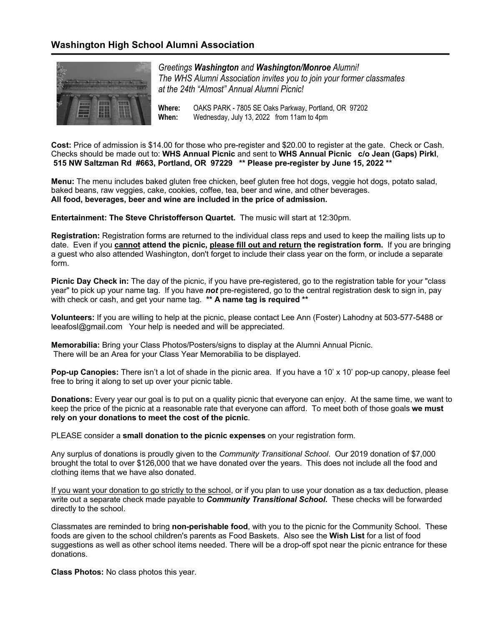### **Washington High School Alumni Association**



*Greetings Washington and Washington/Monroe Alumni! The WHS Alumni Association invites you to join your former classmates at the 24th "Almost" Annual Alumni Picnic!*

**Where:** OAKS PARK - 7805 SE Oaks Parkway, Portland, OR 97202 **When:** Wednesday, July 13, 2022 from 11am to 4pm

**Cost:** Price of admission is \$14.00 for those who pre-register and \$20.00 to register at the gate. Check or Cash. Checks should be made out to: **WHS Annual Picnic** and sent to **WHS Annual Picnic c/o Jean (Gaps) Pirkl**, **515 NW Saltzman Rd #663, Portland, OR 97229 \*\* Please pre-register by June 15, 2022 \*\***

**Menu:** The menu includes baked gluten free chicken, beef gluten free hot dogs, veggie hot dogs, potato salad, baked beans, raw veggies, cake, cookies, coffee, tea, beer and wine, and other beverages. **All food, beverages, beer and wine are included in the price of admission.**

**Entertainment: The Steve Christofferson Quartet.** The music will start at 12:30pm.

**Registration:** Registration forms are returned to the individual class reps and used to keep the mailing lists up to date. Even if you **cannot attend the picnic, please fill out and return the registration form.** If you are bringing a guest who also attended Washington, don't forget to include their class year on the form, or include a separate form.

**Picnic Day Check in:** The day of the picnic, if you have pre-registered, go to the registration table for your "class year" to pick up your name tag. If you have *not* pre-registered, go to the central registration desk to sign in, pay with check or cash, and get your name tag. **\*\* A name tag is required \*\***

**Volunteers:** If you are willing to help at the picnic, please contact Lee Ann (Foster) Lahodny at 503-577-5488 or leeafosl@gmail.com Your help is needed and will be appreciated.

**Memorabilia:** Bring your Class Photos/Posters/signs to display at the Alumni Annual Picnic. There will be an Area for your Class Year Memorabilia to be displayed.

**Pop-up Canopies:** There isn't a lot of shade in the picnic area. If you have a 10' x 10' pop-up canopy, please feel free to bring it along to set up over your picnic table.

**Donations:** Every year our goal is to put on a quality picnic that everyone can enjoy. At the same time, we want to keep the price of the picnic at a reasonable rate that everyone can afford. To meet both of those goals **we must rely on your donations to meet the cost of the picnic**.

PLEASE consider a **small donation to the picnic expenses** on your registration form.

Any surplus of donations is proudly given to the *Community Transitional School*. Our 2019 donation of \$7,000 brought the total to over \$126,000 that we have donated over the years. This does not include all the food and clothing items that we have also donated.

If you want your donation to go strictly to the school, or if you plan to use your donation as a tax deduction, please write out a separate check made payable to *Community Transitional School***.** These checks will be forwarded directly to the school.

Classmates are reminded to bring **non-perishable food**, with you to the picnic for the Community School. These foods are given to the school children's parents as Food Baskets. Also see the **Wish List** for a list of food suggestions as well as other school items needed. There will be a drop-off spot near the picnic entrance for these donations.

**Class Photos:** No class photos this year.